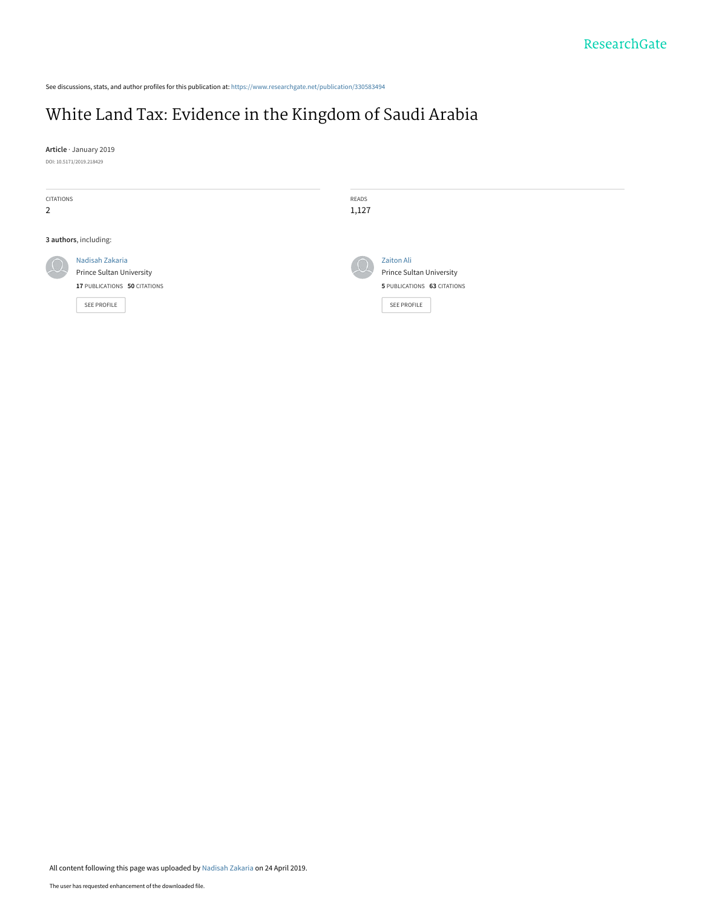See discussions, stats, and author profiles for this publication at: [https://www.researchgate.net/publication/330583494](https://www.researchgate.net/publication/330583494_White_Land_Tax_Evidence_in_the_Kingdom_of_Saudi_Arabia?enrichId=rgreq-257b88bfcfe54f8c9f4fb7220f60f84c-XXX&enrichSource=Y292ZXJQYWdlOzMzMDU4MzQ5NDtBUzo3NTEwNjg0MTM3MDYyNDNAMTU1NjA4MDA3MjQ2OQ%3D%3D&el=1_x_2&_esc=publicationCoverPdf)

# [White Land Tax: Evidence in the Kingdom of Saudi Arabia](https://www.researchgate.net/publication/330583494_White_Land_Tax_Evidence_in_the_Kingdom_of_Saudi_Arabia?enrichId=rgreq-257b88bfcfe54f8c9f4fb7220f60f84c-XXX&enrichSource=Y292ZXJQYWdlOzMzMDU4MzQ5NDtBUzo3NTEwNjg0MTM3MDYyNDNAMTU1NjA4MDA3MjQ2OQ%3D%3D&el=1_x_3&_esc=publicationCoverPdf)

**Article** · January 2019 DOI: 10.5171/2019.218429

| CITATIONS<br>$\overline{2}$ |                                                                                                   | READS<br>1,127 |                                                                                             |
|-----------------------------|---------------------------------------------------------------------------------------------------|----------------|---------------------------------------------------------------------------------------------|
| 3 authors, including:       |                                                                                                   |                |                                                                                             |
| $\Omega$                    | Nadisah Zakaria<br><b>Prince Sultan University</b><br>17 PUBLICATIONS 50 CITATIONS<br>SEE PROFILE | $\mu$          | <b>Zaiton Ali</b><br>Prince Sultan University<br>5 PUBLICATIONS 63 CITATIONS<br>SEE PROFILE |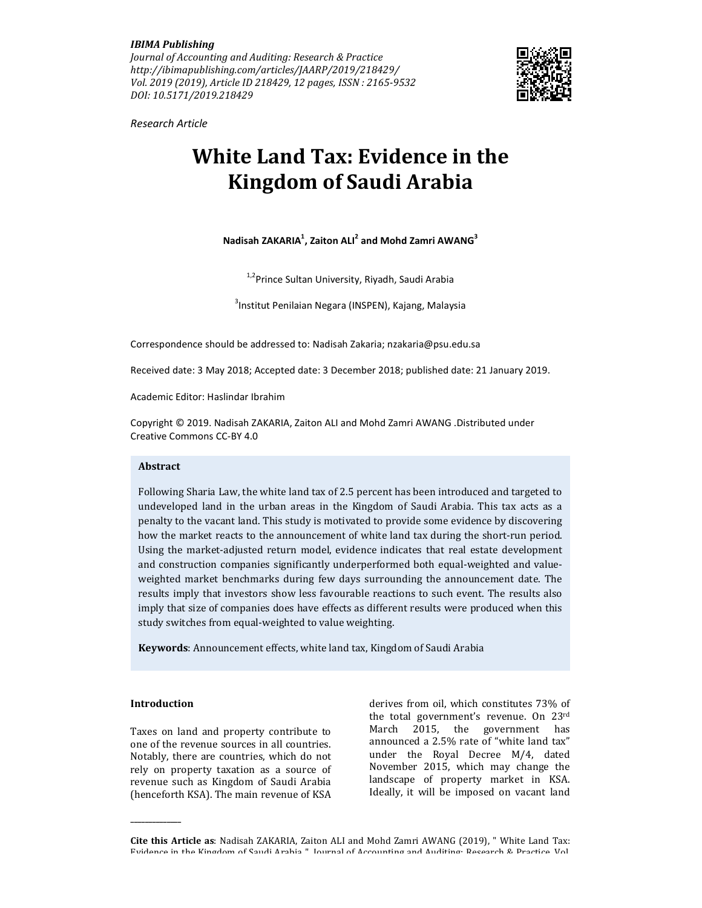IBIMA Publishing

Journal of Accounting and Auditing: Research & Practice http://ibimapublishing.com/articles/JAARP/2019/218429/ Vol. 2019 (2019), Article ID 218429, 12 pages, ISSN : 2165-9532 DOI: 10.5171/2019.218429



Research Article

# White Land Tax: Evidence in the Kingdom of Saudi Arabia

Nadisah ZAKARIA $^1$ , Zaiton ALI $^2$  and Mohd Zamri AWANG $^3$ 

<sup>1,2</sup>Prince Sultan University, Riyadh, Saudi Arabia

<sup>3</sup>Institut Penilaian Negara (INSPEN), Kajang, Malaysia

Correspondence should be addressed to: Nadisah Zakaria; nzakaria@psu.edu.sa

Received date: 3 May 2018; Accepted date: 3 December 2018; published date: 21 January 2019.

Academic Editor: Haslindar Ibrahim

Copyright © 2019. Nadisah ZAKARIA, Zaiton ALI and Mohd Zamri AWANG .Distributed under Creative Commons CC-BY 4.0

## Abstract

Following Sharia Law, the white land tax of 2.5 percent has been introduced and targeted to undeveloped land in the urban areas in the Kingdom of Saudi Arabia. This tax acts as a penalty to the vacant land. This study is motivated to provide some evidence by discovering how the market reacts to the announcement of white land tax during the short-run period. Using the market-adjusted return model, evidence indicates that real estate development and construction companies significantly underperformed both equal-weighted and valueweighted market benchmarks during few days surrounding the announcement date. The results imply that investors show less favourable reactions to such event. The results also imply that size of companies does have effects as different results were produced when this study switches from equal-weighted to value weighting.

Keywords: Announcement effects, white land tax, Kingdom of Saudi Arabia

## Introduction

\_\_\_\_\_\_\_\_\_\_\_\_\_\_

Taxes on land and property contribute to one of the revenue sources in all countries. Notably, there are countries, which do not rely on property taxation as a source of revenue such as Kingdom of Saudi Arabia (henceforth KSA). The main revenue of KSA derives from oil, which constitutes 73% of the total government's revenue. On 23rd March 2015, the government has announced a 2.5% rate of "white land tax" under the Royal Decree M/4, dated November 2015, which may change the landscape of property market in KSA. Ideally, it will be imposed on vacant land

Cite this Article as: Nadisah ZAKARIA, Zaiton ALI and Mohd Zamri AWANG (2019), " White Land Tax: Evidence in the Kingdom of Saudi Arabia ", Journal of Accounting and Auditing: Research & Practice, Vol.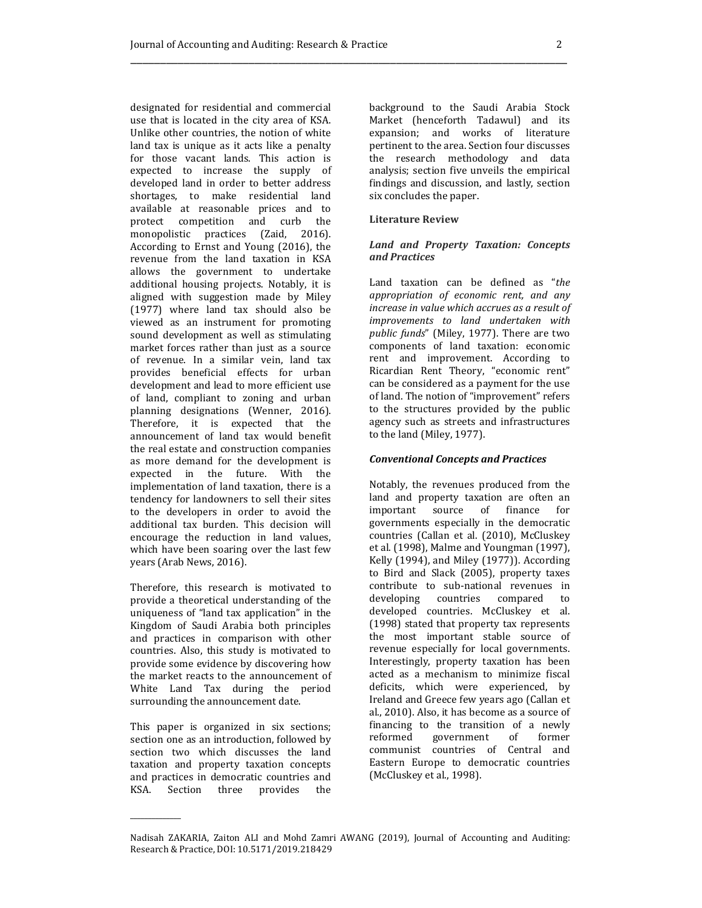designated for residential and commercial use that is located in the city area of KSA. Unlike other countries, the notion of white land tax is unique as it acts like a penalty for those vacant lands. This action is expected to increase the supply of developed land in order to better address shortages, to make residential land available at reasonable prices and to protect competition and curb the monopolistic practices (Zaid, 2016). According to Ernst and Young (2016), the revenue from the land taxation in KSA allows the government to undertake additional housing projects. Notably, it is aligned with suggestion made by Miley (1977) where land tax should also be viewed as an instrument for promoting sound development as well as stimulating market forces rather than just as a source of revenue. In a similar vein, land tax provides beneficial effects for urban development and lead to more efficient use of land, compliant to zoning and urban planning designations (Wenner, 2016). Therefore, it is expected that the announcement of land tax would benefit the real estate and construction companies as more demand for the development is expected in the future. With the implementation of land taxation, there is a tendency for landowners to sell their sites to the developers in order to avoid the additional tax burden. This decision will encourage the reduction in land values, which have been soaring over the last few years (Arab News, 2016).

Therefore, this research is motivated to provide a theoretical understanding of the uniqueness of "land tax application" in the Kingdom of Saudi Arabia both principles and practices in comparison with other countries. Also, this study is motivated to provide some evidence by discovering how the market reacts to the announcement of White Land Tax during the period surrounding the announcement date.

This paper is organized in six sections; section one as an introduction, followed by section two which discusses the land taxation and property taxation concepts and practices in democratic countries and KSA. Section three provides the

 $\overline{\phantom{a}}$ 

background to the Saudi Arabia Stock Market (henceforth Tadawul) and its expansion; and works of literature pertinent to the area. Section four discusses the research methodology and data analysis; section five unveils the empirical findings and discussion, and lastly, section six concludes the paper.

## Literature Review

## Land and Property Taxation: Concepts and Practices

Land taxation can be defined as "the appropriation of economic rent, and any increase in value which accrues as a result of improvements to land undertaken with public funds" (Miley, 1977). There are two components of land taxation: economic rent and improvement. According to Ricardian Rent Theory, "economic rent" can be considered as a payment for the use of land. The notion of "improvement" refers to the structures provided by the public agency such as streets and infrastructures to the land (Miley, 1977).

## Conventional Concepts and Practices

Notably, the revenues produced from the land and property taxation are often an important source of finance for governments especially in the democratic countries (Callan et al. (2010), McCluskey et al. (1998), Malme and Youngman (1997), Kelly (1994), and Miley (1977)). According to Bird and Slack (2005), property taxes contribute to sub-national revenues in developing countries compared to developed countries. McCluskey et al. (1998) stated that property tax represents the most important stable source of revenue especially for local governments. Interestingly, property taxation has been acted as a mechanism to minimize fiscal deficits, which were experienced, by Ireland and Greece few years ago (Callan et al., 2010). Also, it has become as a source of financing to the transition of a newly reformed government of former communist countries of Central and Eastern Europe to democratic countries (McCluskey et al., 1998).

Nadisah ZAKARIA, Zaiton ALI and Mohd Zamri AWANG (2019), Journal of Accounting and Auditing: Research & Practice, DOI: 10.5171/2019.218429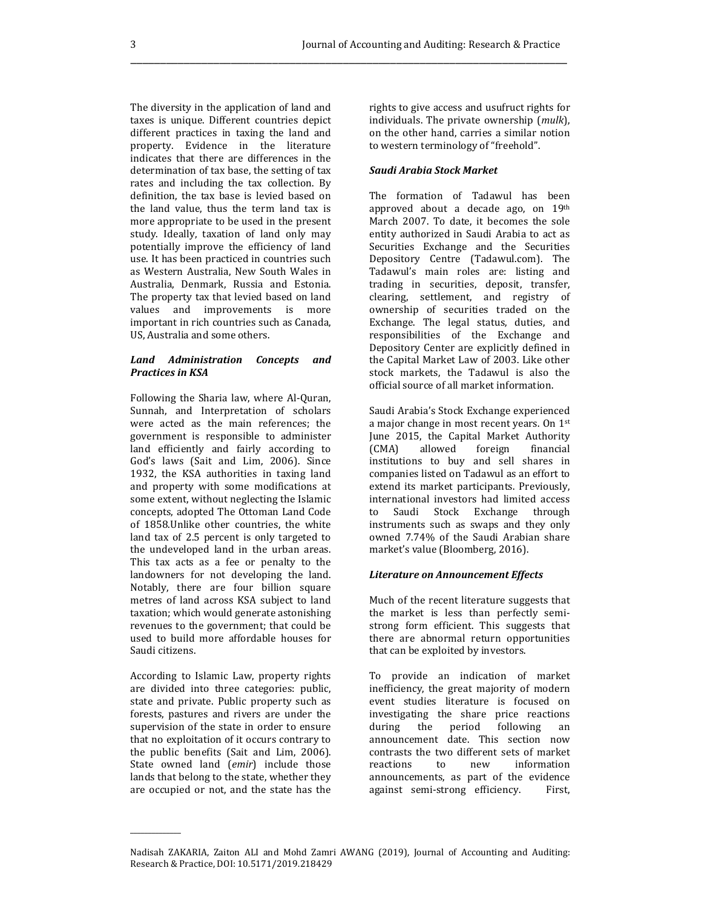The diversity in the application of land and taxes is unique. Different countries depict different practices in taxing the land and property. Evidence in the literature indicates that there are differences in the determination of tax base, the setting of tax rates and including the tax collection. By definition, the tax base is levied based on the land value, thus the term land tax is more appropriate to be used in the present study. Ideally, taxation of land only may potentially improve the efficiency of land use. It has been practiced in countries such as Western Australia, New South Wales in Australia, Denmark, Russia and Estonia. The property tax that levied based on land values and improvements is more important in rich countries such as Canada, US, Australia and some others.

## Land Administration Concepts and Practices in KSA

Following the Sharia law, where Al-Quran, Sunnah, and Interpretation of scholars were acted as the main references; the government is responsible to administer land efficiently and fairly according to God's laws (Sait and Lim, 2006). Since 1932, the KSA authorities in taxing land and property with some modifications at some extent, without neglecting the Islamic concepts, adopted The Ottoman Land Code of 1858.Unlike other countries, the white land tax of 2.5 percent is only targeted to the undeveloped land in the urban areas. This tax acts as a fee or penalty to the landowners for not developing the land. Notably, there are four billion square metres of land across KSA subject to land taxation; which would generate astonishing revenues to the government; that could be used to build more affordable houses for Saudi citizens.

According to Islamic Law, property rights are divided into three categories: public, state and private. Public property such as forests, pastures and rivers are under the supervision of the state in order to ensure that no exploitation of it occurs contrary to the public benefits (Sait and Lim, 2006). State owned land (emir) include those lands that belong to the state, whether they are occupied or not, and the state has the

 $\overline{\phantom{a}}$ 

rights to give access and usufruct rights for individuals. The private ownership (mulk), on the other hand, carries a similar notion to western terminology of "freehold".

## Saudi Arabia Stock Market

The formation of Tadawul has been approved about a decade ago, on 19th March 2007. To date, it becomes the sole entity authorized in Saudi Arabia to act as Securities Exchange and the Securities Depository Centre (Tadawul.com). The Tadawul's main roles are: listing and trading in securities, deposit, transfer, clearing, settlement, and registry of ownership of securities traded on the Exchange. The legal status, duties, and responsibilities of the Exchange and Depository Center are explicitly defined in the Capital Market Law of 2003. Like other stock markets, the Tadawul is also the official source of all market information.

Saudi Arabia's Stock Exchange experienced a major change in most recent years. On 1st June 2015, the Capital Market Authority (CMA) allowed foreign financial institutions to buy and sell shares in companies listed on Tadawul as an effort to extend its market participants. Previously, international investors had limited access to Saudi Stock Exchange through instruments such as swaps and they only owned 7.74% of the Saudi Arabian share market's value (Bloomberg, 2016).

#### Literature on Announcement Effects

Much of the recent literature suggests that the market is less than perfectly semistrong form efficient. This suggests that there are abnormal return opportunities that can be exploited by investors.

To provide an indication of market inefficiency, the great majority of modern event studies literature is focused on investigating the share price reactions during the period following an announcement date. This section now contrasts the two different sets of market reactions to new information announcements, as part of the evidence against semi-strong efficiency. First,

Nadisah ZAKARIA, Zaiton ALI and Mohd Zamri AWANG (2019), Journal of Accounting and Auditing: Research & Practice, DOI: 10.5171/2019.218429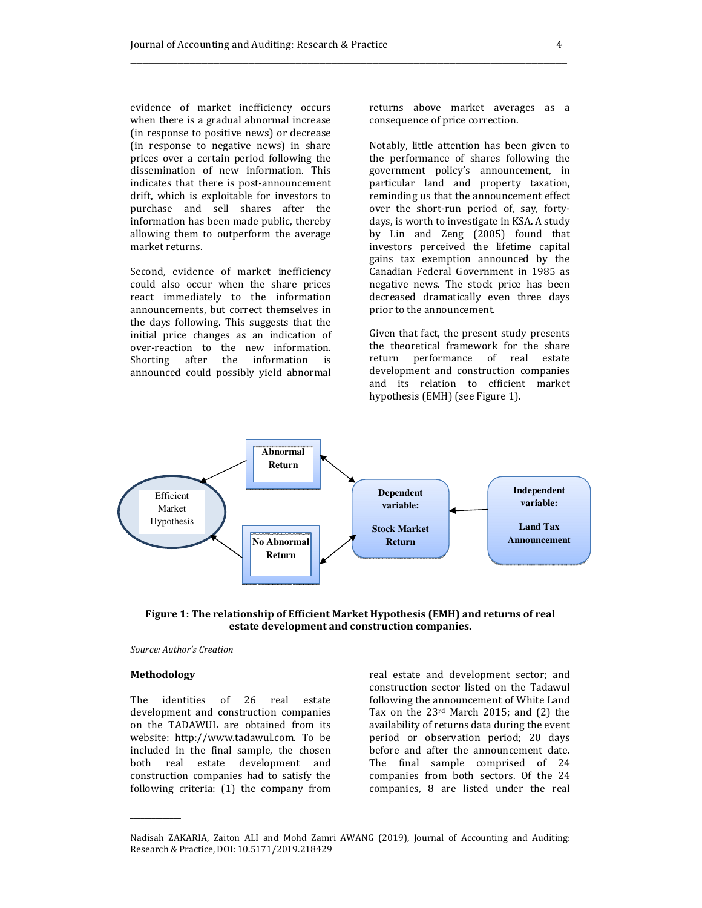evidence of market inefficiency occurs when there is a gradual abnormal increase (in response to positive news) or decrease (in response to negative news) in share prices over a certain period following the dissemination of new information. This indicates that there is post-announcement drift, which is exploitable for investors to purchase and sell shares after the information has been made public, thereby allowing them to outperform the average market returns.

Second, evidence of market inefficiency could also occur when the share prices react immediately to the information announcements, but correct themselves in the days following. This suggests that the initial price changes as an indication of over-reaction to the new information. Shorting after the information is announced could possibly yield abnormal returns above market averages as a consequence of price correction.

Notably, little attention has been given to the performance of shares following the government policy's announcement, in particular land and property taxation, reminding us that the announcement effect over the short-run period of, say, fortydays, is worth to investigate in KSA. A study by Lin and Zeng (2005) found that investors perceived the lifetime capital gains tax exemption announced by the Canadian Federal Government in 1985 as negative news. The stock price has been decreased dramatically even three days prior to the announcement.

Given that fact, the present study presents the theoretical framework for the share return performance of real estate development and construction companies and its relation to efficient market hypothesis (EMH) (see Figure 1).



Figure 1: The relationship of Efficient Market Hypothesis (EMH) and returns of real estate development and construction companies.

## Source: Author's Creation

#### Methodology

 $\overline{\phantom{a}}$ 

The identities of 26 real estate development and construction companies on the TADAWUL are obtained from its website: http://www.tadawul.com. To be included in the final sample, the chosen both real estate development and construction companies had to satisfy the following criteria: (1) the company from

real estate and development sector; and construction sector listed on the Tadawul following the announcement of White Land Tax on the 23rd March 2015; and (2) the availability of returns data during the event period or observation period; 20 days before and after the announcement date. The final sample comprised of 24 companies from both sectors. Of the 24 companies, 8 are listed under the real

Nadisah ZAKARIA, Zaiton ALI and Mohd Zamri AWANG (2019), Journal of Accounting and Auditing: Research & Practice, DOI: 10.5171/2019.218429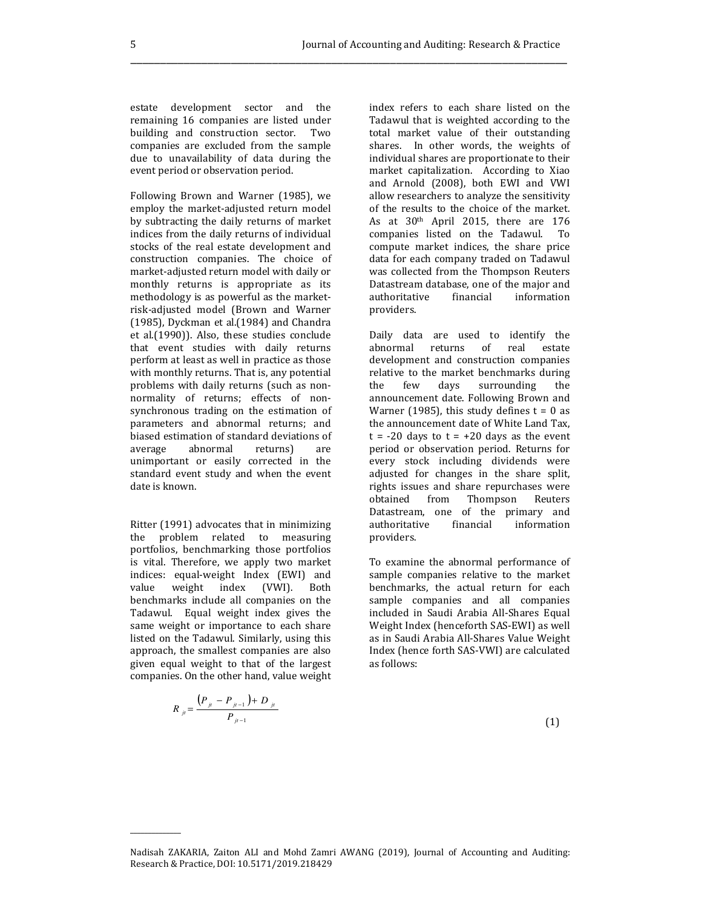estate development sector and the remaining 16 companies are listed under building and construction sector. Two companies are excluded from the sample due to unavailability of data during the event period or observation period.

Following Brown and Warner (1985), we employ the market-adjusted return model by subtracting the daily returns of market indices from the daily returns of individual stocks of the real estate development and construction companies. The choice of market-adjusted return model with daily or monthly returns is appropriate as its methodology is as powerful as the marketrisk-adjusted model (Brown and Warner (1985), Dyckman et al.(1984) and Chandra et al.(1990)). Also, these studies conclude that event studies with daily returns perform at least as well in practice as those with monthly returns. That is, any potential problems with daily returns (such as nonnormality of returns; effects of nonsynchronous trading on the estimation of parameters and abnormal returns; and biased estimation of standard deviations of average abnormal returns) are unimportant or easily corrected in the standard event study and when the event date is known.

Ritter (1991) advocates that in minimizing the problem related to measuring portfolios, benchmarking those portfolios is vital. Therefore, we apply two market indices: equal-weight Index (EWI) and value weight index (VWI). Both benchmarks include all companies on the Tadawul. Equal weight index gives the same weight or importance to each share listed on the Tadawul. Similarly, using this approach, the smallest companies are also given equal weight to that of the largest companies. On the other hand, value weight

$$
R_{ji} = \frac{(P_{ji} - P_{ji-1}) + D_{ji}}{P_{ji-1}}
$$
\n(1)

 $\overline{\phantom{a}}$ 

index refers to each share listed on the Tadawul that is weighted according to the total market value of their outstanding shares. In other words, the weights of individual shares are proportionate to their market capitalization. According to Xiao and Arnold (2008), both EWI and VWI allow researchers to analyze the sensitivity of the results to the choice of the market. As at  $30<sup>th</sup>$  April 2015, there are 176 companies listed on the Tadawul. To compute market indices, the share price data for each company traded on Tadawul was collected from the Thompson Reuters Datastream database, one of the major and authoritative financial information providers.

Daily data are used to identify the abnormal returns of real estate development and construction companies relative to the market benchmarks during the few days surrounding the announcement date. Following Brown and Warner (1985), this study defines  $t = 0$  as the announcement date of White Land Tax,  $t = -20$  days to  $t = +20$  days as the event period or observation period. Returns for every stock including dividends were adjusted for changes in the share split, rights issues and share repurchases were obtained from Thompson Reuters Datastream, one of the primary and authoritative financial information providers.

To examine the abnormal performance of sample companies relative to the market benchmarks, the actual return for each sample companies and all companies included in Saudi Arabia All-Shares Equal Weight Index (henceforth SAS-EWI) as well as in Saudi Arabia All-Shares Value Weight Index (hence forth SAS-VWI) are calculated as follows:

Nadisah ZAKARIA, Zaiton ALI and Mohd Zamri AWANG (2019), Journal of Accounting and Auditing: Research & Practice, DOI: 10.5171/2019.218429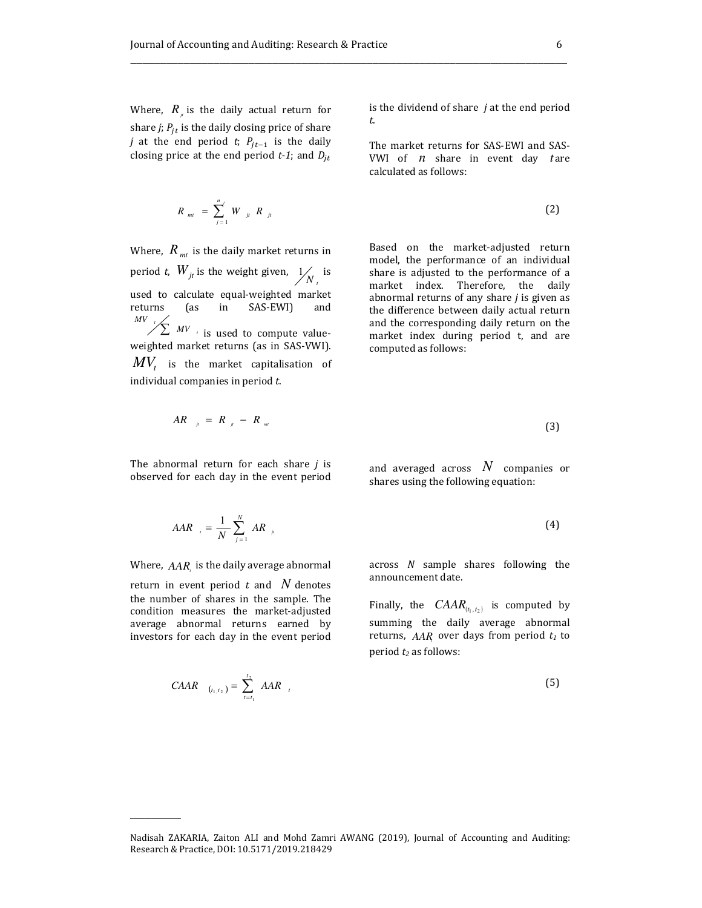Where,  $R_{\mu}$  is the daily actual return for share *j*;  $P_{jt}$  is the daily closing price of share *j* at the end period *t*;  $P_{jt-1}$  is the daily closing price at the end period  $t$ -1; and  $D_{jt}$ 

$$
R_{mt} = \sum_{j=1}^{n} W_{jt} R_{jt}
$$

Where,  $R_{\textit{mt}}$  is the daily market returns in period *t*,  $W_{jt}$  is the weight given,  $\frac{1}{N_t}$  is used to calculate equal-weighted market returns (as in SAS-EWI) and is used to compute valueweighted market returns (as in SAS-VWI).  $MV_{_t}$  is the market capitalisation of individual companies in period t.  $\sum wV$ *MV*

is the dividend of share  $j$  at the end period t.

The market returns for SAS-EWI and SAS-VWI of *n* share in event day tare calculated as follows:

$$
= \sum_{j=1}^{n} W_{j} R_{j} \tag{2}
$$

\_\_\_\_\_\_\_\_\_\_\_\_\_\_\_\_\_\_\_\_\_\_\_\_\_\_\_\_\_\_\_\_\_\_\_\_\_\_\_\_\_\_\_\_\_\_\_\_\_\_\_\_\_\_\_\_\_\_\_\_\_\_\_\_\_\_\_\_\_\_\_\_\_\_

Based on the market-adjusted return model, the performance of an individual share is adjusted to the performance of a market index. Therefore, the daily abnormal returns of any share  $j$  is given as the difference between daily actual return and the corresponding daily return on the market index during period t, and are computed as follows:

$$
AR_{\mu} = R_{\mu} - R_{\mu}
$$
 (3)

The abnormal return for each share  $j$  is observed for each day in the event period

and averaged across  $\,N\,$  companies or shares using the following equation:

$$
AAR_{i} = \frac{1}{N} \sum_{j=1}^{N} AR_{ji}
$$
 (4)

Where,  $AAR_{\iota}$  is the daily average abnormal

return in event period  $t$  and  $N$  denotes the number of shares in the sample. The condition measures the market-adjusted average abnormal returns earned by investors for each day in the event period

 $\overline{\phantom{a}}$ 

across N sample shares following the announcement date.

Finally, the  $\text{CAAR}_{(t_1, t_2)}$  is computed by summing the daily average abnormal returns,  $A A R$ <sub>*t*</sub> over days from period  $t_1$  to period  $t_2$  as follows:

$$
C A A R \tbinom{n}{l_1, l_2} = \sum_{t = t_1}^{t_2} A A R \tbinom{n}{t} \tbinom{n}{t_1} \tbinom{n}{t_2} \tbinom{n}{t_1} \tbinom{n}{t_2} \tbinom{n}{t_3} \tbinom{n}{t_4} \tbinom{n}{t_5} \tbinom{n}{t_6}
$$

Nadisah ZAKARIA, Zaiton ALI and Mohd Zamri AWANG (2019), Journal of Accounting and Auditing: Research & Practice, DOI: 10.5171/2019.218429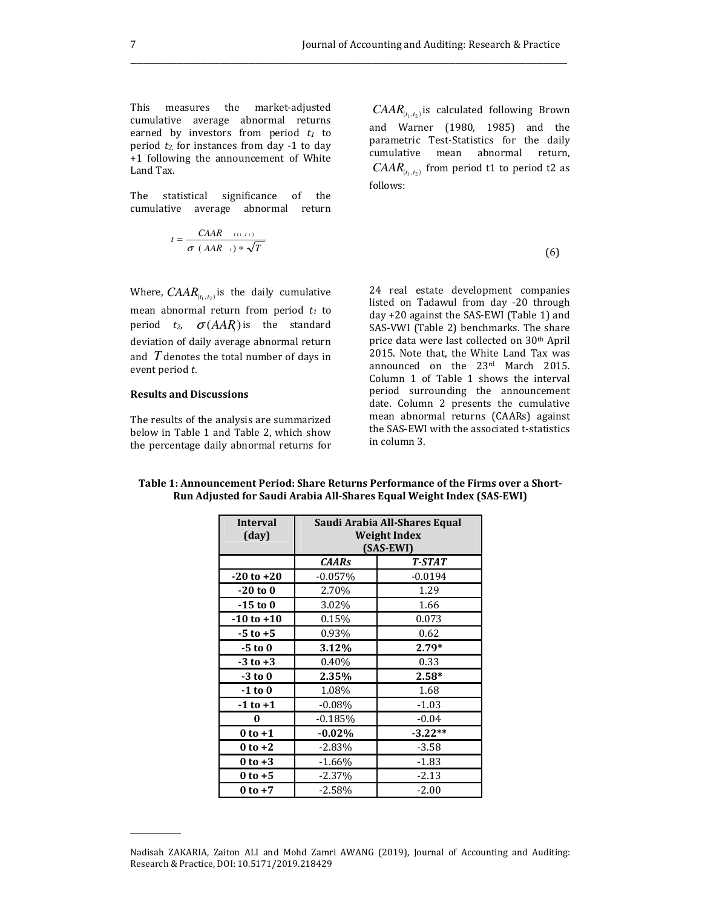This measures the market-adjusted cumulative average abnormal returns earned by investors from period  $t_1$  to period  $t_2$  for instances from day -1 to day +1 following the announcement of White Land Tax.

The statistical significance of the cumulative average abnormal return

$$
t = \frac{CARR^{(t_1, t_2)}}{\sigma (AAR_{t_1}) * \sqrt{T}}
$$
(6)

Where,  $CAR_{(t_1, t_2)}$  is the daily cumulative mean abnormal return from period  $t_1$  to period  $t_2$ ,  $\sigma(AAR)$  is the standard deviation of daily average abnormal return and  $T$  denotes the total number of days in event period t.

## Results and Discussions

 $\overline{\phantom{a}}$ 

The results of the analysis are summarized below in Table 1 and Table 2, which show the percentage daily abnormal returns for

 $CAAA_{(t_1,t_2)}$  is calculated following Brown and Warner (1980, 1985) and the parametric Test-Statistics for the daily cumulative mean abnormal return,  $CAR_{(t_1, t_2)}$  from period t1 to period t2 as follows:

$$
^{(6)}
$$

24 real estate development companies listed on Tadawul from day -20 through day +20 against the SAS-EWI (Table 1) and SAS-VWI (Table 2) benchmarks. The share price data were last collected on 30<sup>th</sup> April 2015. Note that, the White Land Tax was announced on the 23rd March 2015. Column 1 of Table 1 shows the interval period surrounding the announcement date. Column 2 presents the cumulative mean abnormal returns (CAARs) against the SAS-EWI with the associated t-statistics in column 3.

| <b>Interval</b><br>(day) | Saudi Arabia All-Shares Equal<br>Weight Index |               |
|--------------------------|-----------------------------------------------|---------------|
|                          | (SAS-EWI)                                     |               |
|                          | <b>CAARs</b>                                  | <b>T-STAT</b> |
| $-20$ to $+20$           | $-0.057%$                                     | $-0.0194$     |
| $-20$ to $0$             | 2.70%                                         | 1.29          |
| $-15$ to 0               | 3.02%                                         | 1.66          |
| $-10$ to $+10$           | 0.15%                                         | 0.073         |
| $-5$ to $+5$             | 0.93%                                         | 0.62          |
| $-5$ to $0$              | 3.12%                                         | $2.79*$       |
| $-3$ to $+3$             | $0.40\%$                                      | 0.33          |
| $-3$ to $0$              | 2.35%                                         | $2.58*$       |
| $-1$ to $0$              | 1.08%                                         | 1.68          |
| $-1$ to $+1$             | $-0.08%$                                      | $-1.03$       |
| 0                        | $-0.185%$                                     | $-0.04$       |
| $0$ to $+1$              | $-0.02%$                                      | $-3.22**$     |
| $0$ to $+2$              | $-2.83\%$                                     | $-3.58$       |
| $0$ to $+3$              | -1.66%                                        | -1.83         |
| $0$ to $+5$              | $-2.37\%$                                     | -2.13         |
| $0$ to $+7$              | $-2.58\%$                                     | $-2.00$       |

Table 1: Announcement Period: Share Returns Performance of the Firms over a Short-Run Adjusted for Saudi Arabia All-Shares Equal Weight Index (SAS-EWI)

Nadisah ZAKARIA, Zaiton ALI and Mohd Zamri AWANG (2019), Journal of Accounting and Auditing: Research & Practice, DOI: 10.5171/2019.218429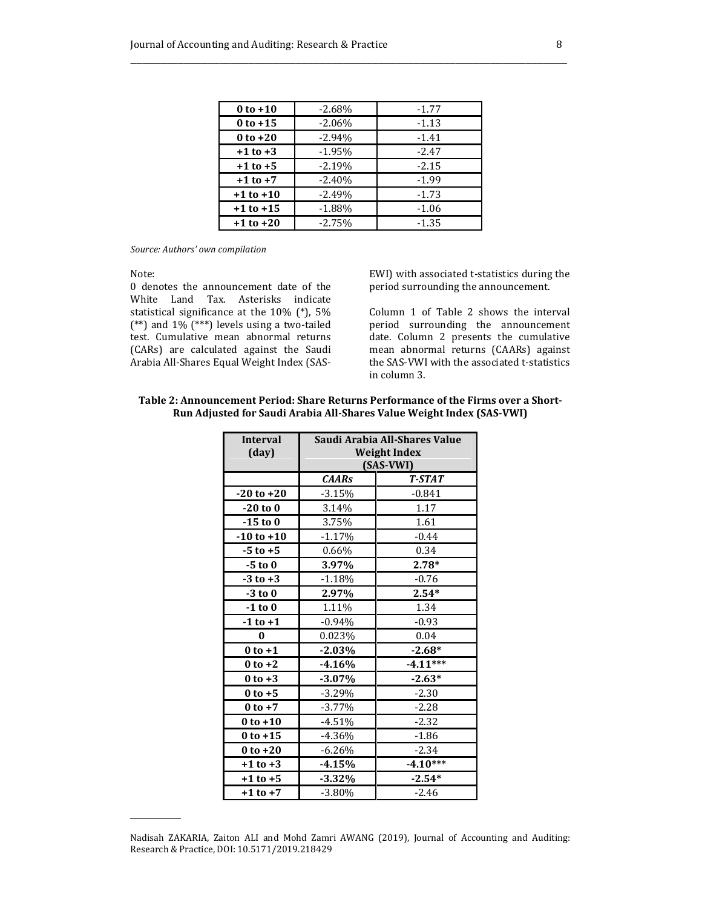| $0$ to $+10$  | $-2.68%$ | $-1.77$ |
|---------------|----------|---------|
| $0$ to $+15$  | $-2.06%$ | $-1.13$ |
| $0$ to $+20$  | $-2.94%$ | $-1.41$ |
| $+1$ to $+3$  | $-1.95%$ | $-2.47$ |
| $+1$ to $+5$  | $-2.19%$ | $-2.15$ |
| $+1$ to $+7$  | $-2.40%$ | $-1.99$ |
| $+1$ to $+10$ | $-2.49%$ | $-1.73$ |
| $+1$ to $+15$ | $-1.88%$ | $-1.06$ |
| $+1$ to $+20$ | $-2.75%$ | $-1.35$ |

#### Source: Authors' own compilation

Note:

 $\overline{\phantom{a}}$ 

0 denotes the announcement date of the White Land Tax. Asterisks indicate statistical significance at the 10% (\*), 5% (\*\*) and 1% (\*\*\*) levels using a two-tailed test. Cumulative mean abnormal returns (CARs) are calculated against the Saudi Arabia All-Shares Equal Weight Index (SAS-

EWI) with associated t-statistics during the period surrounding the announcement.

Column 1 of Table 2 shows the interval period surrounding the announcement date. Column 2 presents the cumulative mean abnormal returns (CAARs) against the SAS-VWI with the associated t-statistics in column 3.

## Table 2: Announcement Period: Share Returns Performance of the Firms over a Short-Run Adjusted for Saudi Arabia All-Shares Value Weight Index (SAS-VWI)

| <b>Interval</b><br>(day) | Saudi Arabia All-Shares Value<br><b>Weight Index</b><br>(SAS-VWI) |            |
|--------------------------|-------------------------------------------------------------------|------------|
|                          | <b>CAARs</b>                                                      | T-STAT     |
| $-20$ to $+20$           | $-3.15%$                                                          | $-0.841$   |
| $-20$ to $0$             | 3.14%                                                             | 1.17       |
| $-15$ to 0               | 3.75%                                                             | 1.61       |
| $-10$ to $+10$           | $-1.17%$                                                          | $-0.44$    |
| $-5$ to $+5$             | $0.66\%$                                                          | 0.34       |
| $-5$ to $0$              | 3.97%                                                             | $2.78*$    |
| $-3$ to $+3$             | $-1.18%$                                                          | $-0.76$    |
| $-3$ to $0$              | 2.97%                                                             | $2.54*$    |
| $-1$ to $0$              | 1.11%                                                             | 1.34       |
| $-1$ to $+1$             | $-0.94\%$                                                         | $-0.93$    |
| 0                        | 0.023%                                                            | 0.04       |
| $0$ to $+1$              | $-2.03%$                                                          | $-2.68*$   |
| $0$ to $+2$              | $-4.16%$                                                          | $-4.11***$ |
| $0$ to $+3$              | $-3.07\%$                                                         | $-2.63*$   |
| $0$ to $+5$              | $-3.29%$                                                          | $-2.30$    |
| $0$ to $+7$              | $-3.77\%$                                                         | $-2.28$    |
| $0$ to $+10$             | $-4.51%$                                                          | $-2.32$    |
| $0$ to $+15$             | $-4.36%$                                                          | $-1.86$    |
| $0$ to $+20$             | $-6.26%$                                                          | $-2.34$    |
| $+1$ to $+3$             | $-4.15%$                                                          | $-4.10***$ |
| $+1$ to $+5$             | $-3.32\%$                                                         | $-2.54*$   |
| $+1$ to $+7$             | $-3.80%$                                                          | $-2.46$    |

Nadisah ZAKARIA, Zaiton ALI and Mohd Zamri AWANG (2019), Journal of Accounting and Auditing: Research & Practice, DOI: 10.5171/2019.218429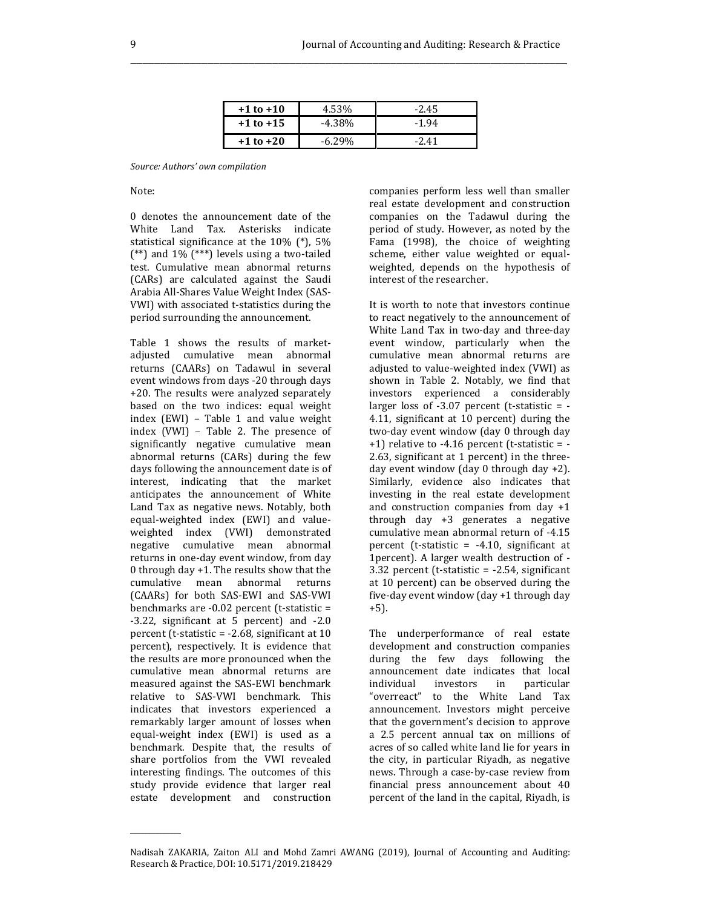| $+1$ to $+10$ | 4.53%    | $-2.45$ |
|---------------|----------|---------|
| $+1$ to $+15$ | $-4.38%$ | $-1.94$ |
| $+1$ to $+20$ |          | $-241$  |

Source: Authors' own compilation

Note:

0 denotes the announcement date of the White Land Tax. Asterisks indicate statistical significance at the 10% (\*), 5% (\*\*) and 1% (\*\*\*) levels using a two-tailed test. Cumulative mean abnormal returns (CARs) are calculated against the Saudi Arabia All-Shares Value Weight Index (SAS-VWI) with associated t-statistics during the period surrounding the announcement.

Table 1 shows the results of marketadjusted cumulative mean abnormal returns (CAARs) on Tadawul in several event windows from days -20 through days +20. The results were analyzed separately based on the two indices: equal weight index (EWI) – Table 1 and value weight index (VWI) – Table 2. The presence of significantly negative cumulative mean abnormal returns (CARs) during the few days following the announcement date is of interest, indicating that the market anticipates the announcement of White Land Tax as negative news. Notably, both equal-weighted index (EWI) and valueweighted index (VWI) demonstrated negative cumulative mean abnormal returns in one-day event window, from day 0 through day +1. The results show that the cumulative mean abnormal returns (CAARs) for both SAS-EWI and SAS-VWI benchmarks are -0.02 percent (t-statistic = -3.22, significant at 5 percent) and -2.0 percent (t-statistic = -2.68, significant at 10 percent), respectively. It is evidence that the results are more pronounced when the cumulative mean abnormal returns are measured against the SAS-EWI benchmark relative to SAS-VWI benchmark. This indicates that investors experienced a remarkably larger amount of losses when equal-weight index (EWI) is used as a benchmark. Despite that, the results of share portfolios from the VWI revealed interesting findings. The outcomes of this study provide evidence that larger real estate development and construction

 $\overline{\phantom{a}}$ 

companies perform less well than smaller real estate development and construction companies on the Tadawul during the period of study. However, as noted by the Fama (1998), the choice of weighting scheme, either value weighted or equalweighted, depends on the hypothesis of interest of the researcher.

It is worth to note that investors continue to react negatively to the announcement of White Land Tax in two-day and three-day event window, particularly when the cumulative mean abnormal returns are adjusted to value-weighted index (VWI) as shown in Table 2. Notably, we find that investors experienced a considerably larger loss of  $-3.07$  percent (t-statistic =  $-$ 4.11, significant at 10 percent) during the two-day event window (day 0 through day  $+1$ ) relative to  $-4.16$  percent (t-statistic =  $-$ 2.63, significant at 1 percent) in the threeday event window (day 0 through day +2). Similarly, evidence also indicates that investing in the real estate development and construction companies from day +1 through day +3 generates a negative cumulative mean abnormal return of -4.15 percent (t-statistic = -4.10, significant at 1percent). A larger wealth destruction of - 3.32 percent (t-statistic = -2.54, significant at 10 percent) can be observed during the five-day event window (day +1 through day +5).

The underperformance of real estate development and construction companies during the few days following the announcement date indicates that local individual investors in particular "overreact" to the White Land Tax announcement. Investors might perceive that the government's decision to approve a 2.5 percent annual tax on millions of acres of so called white land lie for years in the city, in particular Riyadh, as negative news. Through a case-by-case review from financial press announcement about 40 percent of the land in the capital, Riyadh, is

Nadisah ZAKARIA, Zaiton ALI and Mohd Zamri AWANG (2019), Journal of Accounting and Auditing: Research & Practice, DOI: 10.5171/2019.218429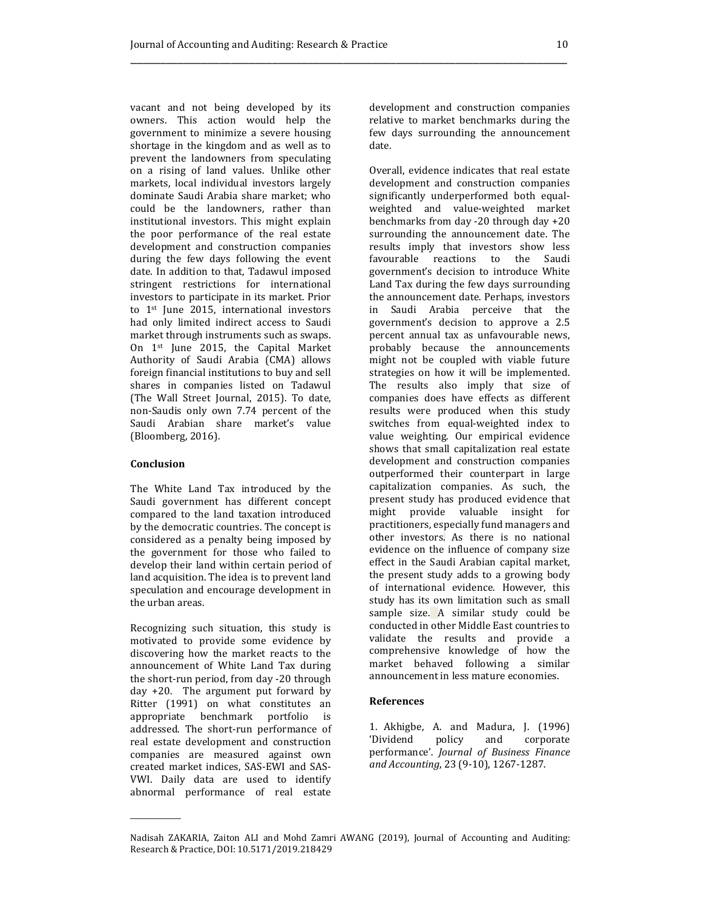vacant and not being developed by its owners. This action would help the government to minimize a severe housing shortage in the kingdom and as well as to prevent the landowners from speculating on a rising of land values. Unlike other markets, local individual investors largely dominate Saudi Arabia share market; who could be the landowners, rather than institutional investors. This might explain the poor performance of the real estate development and construction companies during the few days following the event date. In addition to that, Tadawul imposed stringent restrictions for international investors to participate in its market. Prior to 1st June 2015, international investors had only limited indirect access to Saudi market through instruments such as swaps. On 1st June 2015, the Capital Market Authority of Saudi Arabia (CMA) allows foreign financial institutions to buy and sell shares in companies listed on Tadawul (The Wall Street Journal, 2015). To date, non-Saudis only own 7.74 percent of the Saudi Arabian share market's value (Bloomberg, 2016).

#### Conclusion

 $\overline{\phantom{a}}$ 

The White Land Tax introduced by the Saudi government has different concept compared to the land taxation introduced by the democratic countries. The concept is considered as a penalty being imposed by the government for those who failed to develop their land within certain period of land acquisition. The idea is to prevent land speculation and encourage development in the urban areas.

Recognizing such situation, this study is motivated to provide some evidence by discovering how the market reacts to the announcement of White Land Tax during the short-run period, from day -20 through day +20. The argument put forward by Ritter (1991) on what constitutes an appropriate benchmark portfolio is addressed. The short-run performance of real estate development and construction companies are measured against own created market indices, SAS-EWI and SAS-VWI. Daily data are used to identify abnormal performance of real estate

development and construction companies relative to market benchmarks during the few days surrounding the announcement date.

Overall, evidence indicates that real estate development and construction companies significantly underperformed both equalweighted and value-weighted market benchmarks from day -20 through day +20 surrounding the announcement date. The results imply that investors show less favourable reactions to the Saudi government's decision to introduce White Land Tax during the few days surrounding the announcement date. Perhaps, investors in Saudi Arabia perceive that the government's decision to approve a 2.5 percent annual tax as unfavourable news, probably because the announcements might not be coupled with viable future strategies on how it will be implemented. The results also imply that size of companies does have effects as different results were produced when this study switches from equal-weighted index to value weighting. Our empirical evidence shows that small capitalization real estate development and construction companies outperformed their counterpart in large capitalization companies. As such, the present study has produced evidence that might provide valuable insight for practitioners, especially fund managers and other investors. As there is no national evidence on the influence of company size effect in the Saudi Arabian capital market, the present study adds to a growing body of international evidence. However, this study has its own limitation such as small sample size. A similar study could be conducted in other Middle East countries to validate the results and provide a comprehensive knowledge of how the market behaved following a similar announcement in less mature economies.

#### References

1. Akhigbe, A. and Madura, J. (1996) 'Dividend policy and corporate performance'. Journal of Business Finance and Accounting, 23 (9-10), 1267-1287.

Nadisah ZAKARIA, Zaiton ALI and Mohd Zamri AWANG (2019), Journal of Accounting and Auditing: Research & Practice, DOI: 10.5171/2019.218429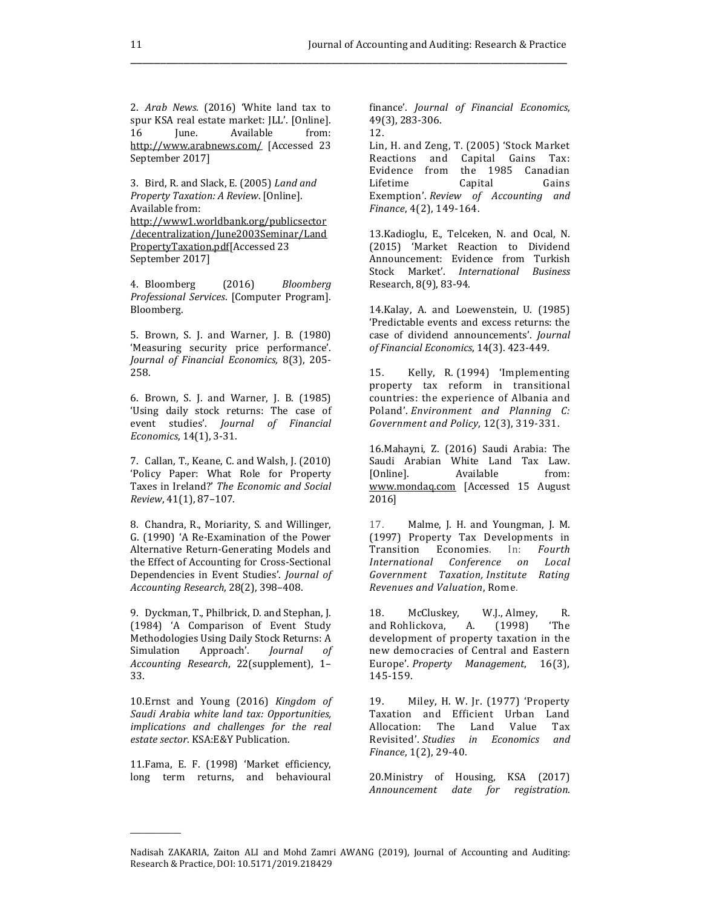2. Arab News. (2016) 'White land tax to spur KSA real estate market: JLL'. [Online]. 16 June. Available from: http://www.arabnews.com/ [Accessed 23 September 2017]

3. Bird, R. and Slack, E. (2005) Land and Property Taxation: A Review. [Online]. Available from: http://www1.worldbank.org/publicsector /decentralization/June2003Seminar/Land PropertyTaxation.pdf[Accessed 23

September 2017]

4. Bloomberg (2016) Bloomberg Professional Services. [Computer Program]. Bloomberg.

5. Brown, S. J. and Warner, J. B. (1980) 'Measuring security price performance'. Journal of Financial Economics, 8(3), 205- 258.

6. Brown, S. J. and Warner, J. B. (1985) 'Using daily stock returns: The case of event studies'. Journal of Financial Economics, 14(1), 3-31.

7. Callan, T., Keane, C. and Walsh, J. (2010) 'Policy Paper: What Role for Property Taxes in Ireland?' The Economic and Social Review, 41(1), 87–107.

8. Chandra, R., Moriarity, S. and Willinger, G. (1990) 'A Re-Examination of the Power Alternative Return-Generating Models and the Effect of Accounting for Cross-Sectional Dependencies in Event Studies'. Journal of Accounting Research, 28(2), 398–408.

9. Dyckman, T., Philbrick, D. and Stephan, J. (1984) 'A Comparison of Event Study Methodologies Using Daily Stock Returns: A Simulation Approach'. Journal of Accounting Research, 22(supplement), 1– 33.

10.Ernst and Young (2016) Kingdom of Saudi Arabia white land tax: Opportunities, implications and challenges for the real estate sector. KSA:E&Y Publication.

11.Fama, E. F. (1998) 'Market efficiency, long term returns, and behavioural

 $\overline{\phantom{a}}$ 

finance'. Journal of Financial Economics, 49(3), 283-306.

12.

\_\_\_\_\_\_\_\_\_\_\_\_\_\_\_\_\_\_\_\_\_\_\_\_\_\_\_\_\_\_\_\_\_\_\_\_\_\_\_\_\_\_\_\_\_\_\_\_\_\_\_\_\_\_\_\_\_\_\_\_\_\_\_\_\_\_\_\_\_\_\_\_\_\_

Lin, H. and Zeng, T. (2005) 'Stock Market Reactions and Capital Gains Tax: Evidence from the 1985 Canadian Lifetime Capital Gains Exemption'. Review of Accounting and Finance, 4(2), 149-164.

13.Kadioglu, E., Telceken, N. and Ocal, N. (2015) 'Market Reaction to Dividend Announcement: Evidence from Turkish Stock Market'. International Business Research, 8(9), 83-94.

14.Kalay, A. and Loewenstein, U. (1985) 'Predictable events and excess returns: the case of dividend announcements'. Journal of Financial Economics, 14(3). 423-449.

15. Kelly, R. (1994) 'Implementing property tax reform in transitional countries: the experience of Albania and Poland'. Environment and Planning C: Government and Policy, 12(3), 319-331.

16.Mahayni, Z. (2016) Saudi Arabia: The Saudi Arabian White Land Tax Law.<br>[Online]. Available from: Available from: www.mondaq.com [Accessed 15 August 2016]

17. Malme, J. H. and Youngman, J. M. (1997) Property Tax Developments in Transition Economies. In: Fourth International Conference on Local Government Taxation, Institute Rating Revenues and Valuation, Rome.

18. McCluskey, W.J., Almey, R. and Rohlickova, A. (1998) 'The development of property taxation in the new democracies of Central and Eastern Europe'. Property Management, 16(3), 145-159.

19. Miley, H. W. Jr. (1977) 'Property Taxation and Efficient Urban Land Allocation: The Land Value Tax Revisited'. Studies in Economics and Finance, 1(2), 29-40.

20.Ministry of Housing, KSA (2017) Announcement date for registration.

Nadisah ZAKARIA, Zaiton ALI and Mohd Zamri AWANG (2019), Journal of Accounting and Auditing: Research & Practice, DOI: 10.5171/2019.218429